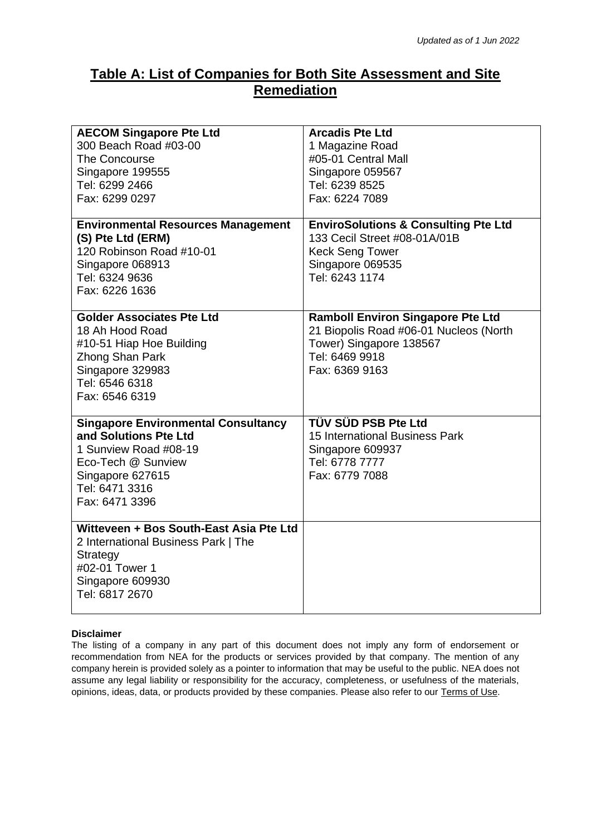## **Table A: List of Companies for Both Site Assessment and Site Remediation**

|                                            | <b>Arcadis Pte Ltd</b>                                                          |
|--------------------------------------------|---------------------------------------------------------------------------------|
| <b>AECOM Singapore Pte Ltd</b>             |                                                                                 |
| 300 Beach Road #03-00                      | 1 Magazine Road                                                                 |
| The Concourse                              | #05-01 Central Mall                                                             |
| Singapore 199555                           | Singapore 059567                                                                |
| Tel: 6299 2466                             | Tel: 6239 8525                                                                  |
| Fax: 6299 0297                             | Fax: 6224 7089                                                                  |
|                                            |                                                                                 |
| <b>Environmental Resources Management</b>  | <b>EnviroSolutions &amp; Consulting Pte Ltd</b><br>133 Cecil Street #08-01A/01B |
| (S) Pte Ltd (ERM)                          |                                                                                 |
| 120 Robinson Road #10-01                   | <b>Keck Seng Tower</b>                                                          |
| Singapore 068913                           | Singapore 069535                                                                |
| Tel: 6324 9636                             | Tel: 6243 1174                                                                  |
| Fax: 6226 1636                             |                                                                                 |
| <b>Golder Associates Pte Ltd</b>           | <b>Ramboll Environ Singapore Pte Ltd</b>                                        |
| 18 Ah Hood Road                            | 21 Biopolis Road #06-01 Nucleos (North                                          |
| #10-51 Hiap Hoe Building                   | Tower) Singapore 138567                                                         |
| Zhong Shan Park                            | Tel: 6469 9918                                                                  |
| Singapore 329983                           | Fax: 6369 9163                                                                  |
| Tel: 6546 6318                             |                                                                                 |
| Fax: 6546 6319                             |                                                                                 |
|                                            |                                                                                 |
| <b>Singapore Environmental Consultancy</b> | TÜV SÜD PSB Pte Ltd                                                             |
| and Solutions Pte Ltd                      | 15 International Business Park                                                  |
| 1 Sunview Road #08-19                      | Singapore 609937                                                                |
| Eco-Tech @ Sunview                         | Tel: 6778 7777                                                                  |
| Singapore 627615                           | Fax: 6779 7088                                                                  |
| Tel: 6471 3316                             |                                                                                 |
| Fax: 6471 3396                             |                                                                                 |
|                                            |                                                                                 |
| Witteveen + Bos South-East Asia Pte Ltd    |                                                                                 |
| 2 International Business Park   The        |                                                                                 |
| Strategy                                   |                                                                                 |
| #02-01 Tower 1                             |                                                                                 |
| Singapore 609930                           |                                                                                 |
| Tel: 6817 2670                             |                                                                                 |
|                                            |                                                                                 |

## **Disclaimer**

The listing of a company in any part of this document does not imply any form of endorsement or recommendation from NEA for the products or services provided by that company. The mention of any company herein is provided solely as a pointer to information that may be useful to the public. NEA does not assume any legal liability or responsibility for the accuracy, completeness, or usefulness of the materials, opinions, ideas, data, or products provided by these companies. Please also refer to our [Terms of Use.](https://www.nea.gov.sg/corporate-functions/terms-of-use)